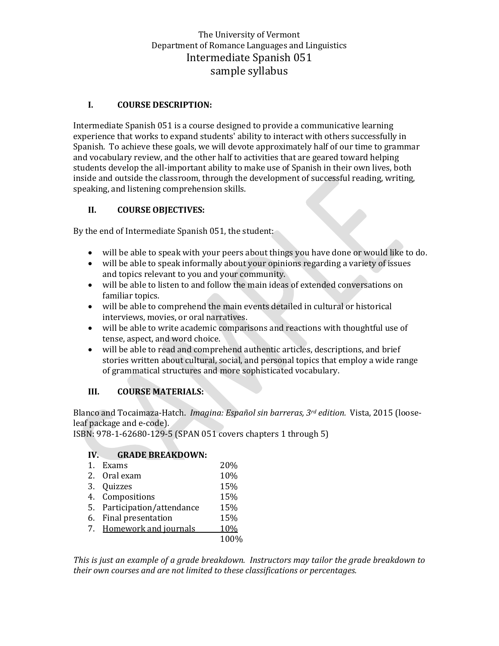# The University of Vermont Department of Romance Languages and Linguistics Intermediate Spanish 051 sample syllabus

### **I. COURSE DESCRIPTION:**

Intermediate Spanish 051 is a course designed to provide a communicative learning experience that works to expand students' ability to interact with others successfully in Spanish. To achieve these goals, we will devote approximately half of our time to grammar and vocabulary review, and the other half to activities that are geared toward helping students develop the all-important ability to make use of Spanish in their own lives, both inside and outside the classroom, through the development of successful reading, writing, speaking, and listening comprehension skills.

### **II. COURSE OBJECTIVES:**

By the end of Intermediate Spanish 051, the student:

- will be able to speak with your peers about things you have done or would like to do.
- will be able to speak informally about your opinions regarding a variety of issues and topics relevant to you and your community.
- will be able to listen to and follow the main ideas of extended conversations on familiar topics.
- will be able to comprehend the main events detailed in cultural or historical interviews, movies, or oral narratives.
- will be able to write academic comparisons and reactions with thoughtful use of tense, aspect, and word choice.
- will be able to read and comprehend authentic articles, descriptions, and brief stories written about cultural, social, and personal topics that employ a wide range of grammatical structures and more sophisticated vocabulary.

#### **III. COURSE MATERIALS:**

Blanco and Tocaimaza-Hatch. *Imagina: Español sin barreras, 3rd edition.* Vista, 2015 (looseleaf package and e-code).

ISBN: 978-1-62680-129-5 (SPAN 051 covers chapters 1 through 5)

## **IV. GRADE BREAKDOWN:**

| Exams                       | <b>20%</b> |
|-----------------------------|------------|
| 2. Oral exam                | 10%        |
| 3. Quizzes                  | 15%        |
| 4. Compositions             | 15%        |
| 5. Participation/attendance | 15%        |
| 6. Final presentation       | 15%        |
| 7. Homework and journals    | <b>10%</b> |
|                             | 100%       |

*This is just an example of a grade breakdown. Instructors may tailor the grade breakdown to their own courses and are not limited to these classifications or percentages.*